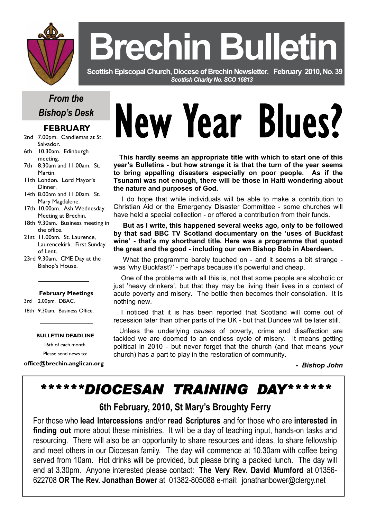

# **Brechin Bulleti**

 **Scottish Episcopal Church, Diocese of Brechin Newsletter***.* **February 2010, No. 39**  *Scottish Charity No. SCO 16813* 

# *From the Bishop's Desk*

## **FEBRUARY**

- 2nd 7.00pm. Candlemas at St. Salvador.
- 6th 10.30am. Edinburgh meeting.
- 7th 8.30am and 11.00am. St. Martin.
- 11th London. Lord Mayor's Dinner.
- 14th 8.00am and 11.00am. St. Mary Magdalene.
- 17th 10.00am. Ash Wednesday. Meeting at Brechin.
- 18th 9.30am. Business meeting in the office.
- 21st 11.00am. St. Laurence, Laurencekirk. First Sunday of Lent.
- 23rd 9.30am. CME Day at the Bishop's House.

#### **February Meetings**

- 3rd 2.00pm. DBAC.
- 18th 9.30am. Business Office.

#### **BULLETIN DEADLINE**

16th of each month.

Please send news to:

**office@brechin.anglican.org** 

# New Year Blues?

**This hardly seems an appropriate title with which to start one of this year's Bulletins - but how strange it is that the turn of the year seems to bring appalling disasters especially on poor people. As if the Tsunami was not enough, there will be those in Haiti wondering about the nature and purposes of God.** 

 I do hope that while individuals will be able to make a contribution to Christian Aid or the Emergency Disaster Committee - some churches will have held a special collection - or offered a contribution from their funds.

 **But as I write, this happened several weeks ago, only to be followed by that sad BBC TV Scotland documentary on the 'uses of Buckfast wine' - that's my shorthand title. Here was a programme that quoted the great and the good - including our own Bishop Bob in Aberdeen.** 

 What the programme barely touched on - and it seems a bit strange was 'why Buckfast?' - perhaps because it's powerful and cheap.

 One of the problems with all this is, not that some people are alcoholic or just 'heavy drinkers', but that they may be living their lives in a context of acute poverty and misery. The bottle then becomes their consolation. It is nothing new.

 I noticed that it is has been reported that Scotland will come out of recession later than other parts of the UK - but that Dundee will be later still.

 Unless the underlying *causes* of poverty, crime and disaffection are tackled we are doomed to an endless cycle of misery. It means getting political in 2010 - but never forget that the church (and that means *your*  church) has a part to play in the restoration of community*.* 

 *- Bishop John* 

# *\*\*\*\*\*\*DIOCESAN TRAINING DAY\*\*\*\*\*\**

# **6th February, 2010, St Mary's Broughty Ferry**

For those who **lead Intercessions** and/or **read Scriptures** and for those who are **interested in finding out** more about these ministries. It will be a day of teaching input, hands-on tasks and resourcing. There will also be an opportunity to share resources and ideas, to share fellowship and meet others in our Diocesan family. The day will commence at 10.30am with coffee being served from 10am. Hot drinks will be provided, but please bring a packed lunch. The day will end at 3.30pm. Anyone interested please contact: **The Very Rev. David Mumford** at 01356- 622708 **OR The Rev. Jonathan Bower** at 01382-805088 e-mail: jonathanbower@clergy.net